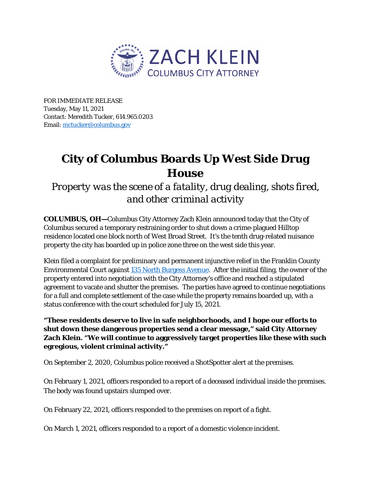

FOR IMMEDIATE RELEASE Tuesday, May 11, 2021 Contact: Meredith Tucker, 614.965.0203 Email[: mctucker@columbus.gov](mailto:mctucker@columbus.gov)

## **City of Columbus Boards Up West Side Drug House**

*Property was the scene of a fatality, drug dealing, shots fired, and other criminal activity*

**COLUMBUS, OH—**Columbus City Attorney Zach Klein announced today that the City of Columbus secured a temporary restraining order to shut down a crime-plagued Hilltop residence located one block north of West Broad Street. It's the tenth drug-related nuisance property the city has boarded up in police zone three on the west side this year.

Klein filed a complaint for preliminary and permanent injunctive relief in the Franklin County Environmental Court against [135 North Burgess Avenue.](https://www.google.com/maps/place/135+N+Burgess+Ave,+Columbus,+OH+43204/@39.9580129,-83.0720713,17z/data=!3m1!4b1!4m5!3m4!1s0x88388fe79256f291:0x6502d1f0800fe694!8m2!3d39.9580129!4d-83.0698826) After the initial filing, the owner of the property entered into negotiation with the City Attorney's office and reached a stipulated agreement to vacate and shutter the premises. The parties have agreed to continue negotiations for a full and complete settlement of the case while the property remains boarded up, with a status conference with the court scheduled for July 15, 2021.

**"These residents deserve to live in safe neighborhoods, and I hope our efforts to shut down these dangerous properties send a clear message," said City Attorney Zach Klein. "We will continue to aggressively target properties like these with such egregious, violent criminal activity."**

On September 2, 2020, Columbus police received a ShotSpotter alert at the premises.

On February 1, 2021, officers responded to a report of a deceased individual inside the premises. The body was found upstairs slumped over.

On February 22, 2021, officers responded to the premises on report of a fight.

On March 1, 2021, officers responded to a report of a domestic violence incident.